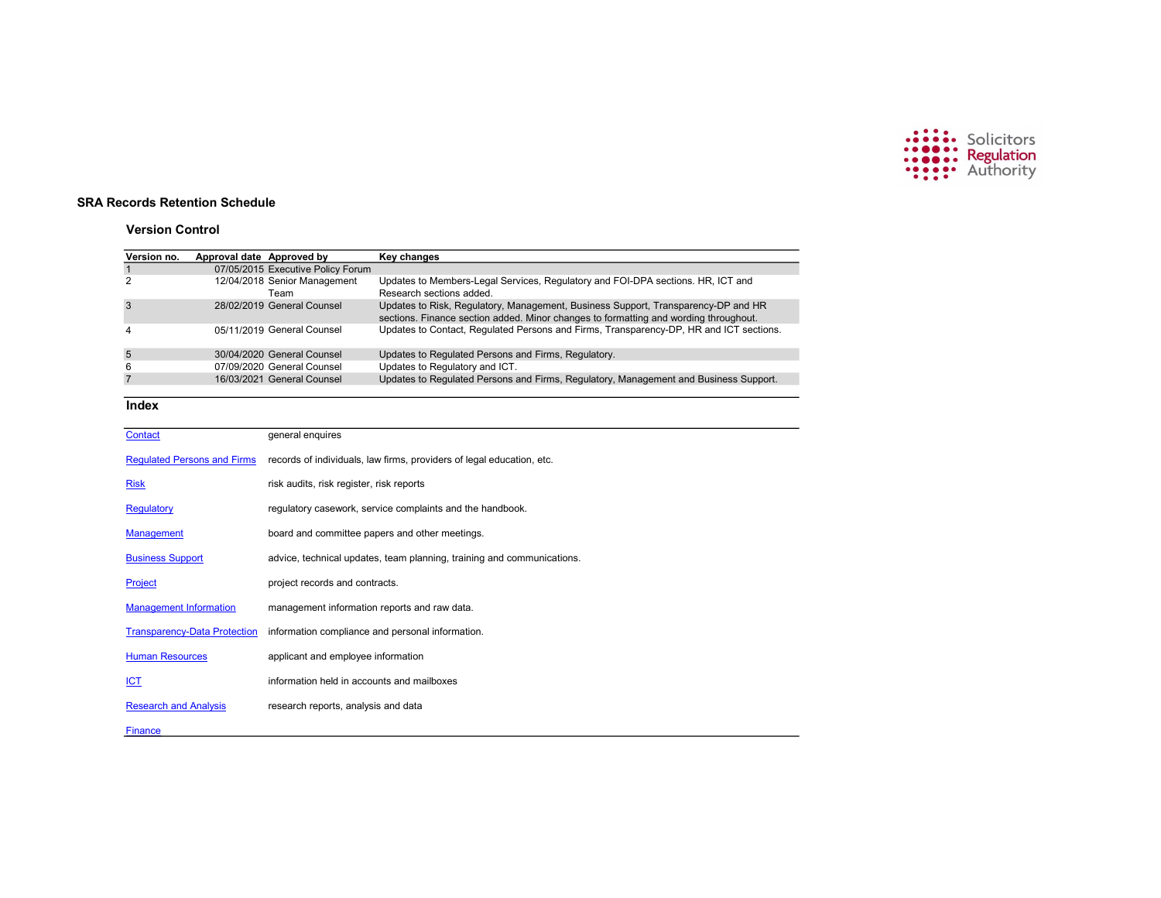

# SRA Records Retention Schedule

# Version Control

| Version no.                         | Approval date Approved by |                                              | <b>Key changes</b>                                                                                                                                                        |
|-------------------------------------|---------------------------|----------------------------------------------|---------------------------------------------------------------------------------------------------------------------------------------------------------------------------|
| $\mathbf{1}$                        |                           | 07/05/2015 Executive Policy Forum            |                                                                                                                                                                           |
| 2                                   |                           | 12/04/2018 Senior Management<br>Team         | Updates to Members-Legal Services, Regulatory and FOI-DPA sections. HR, ICT and<br>Research sections added.                                                               |
| 3                                   |                           | 28/02/2019 General Counsel                   | Updates to Risk, Regulatory, Management, Business Support, Transparency-DP and HR<br>sections. Finance section added. Minor changes to formatting and wording throughout. |
| 4                                   |                           | 05/11/2019 General Counsel                   | Updates to Contact, Regulated Persons and Firms, Transparency-DP, HR and ICT sections.                                                                                    |
| 5                                   |                           | 30/04/2020 General Counsel                   | Updates to Regulated Persons and Firms, Regulatory.                                                                                                                       |
| 6                                   |                           | 07/09/2020 General Counsel                   | Updates to Regulatory and ICT.                                                                                                                                            |
| $\overline{7}$                      |                           | 16/03/2021 General Counsel                   | Updates to Regulated Persons and Firms, Regulatory, Management and Business Support.                                                                                      |
| Index                               |                           |                                              |                                                                                                                                                                           |
| Contact                             |                           | general enquires                             |                                                                                                                                                                           |
| <b>Requlated Persons and Firms</b>  |                           |                                              | records of individuals, law firms, providers of legal education, etc.                                                                                                     |
| <b>Risk</b>                         |                           | risk audits, risk register, risk reports     |                                                                                                                                                                           |
| Regulatory                          |                           |                                              | regulatory casework, service complaints and the handbook.                                                                                                                 |
| <b>Management</b>                   |                           |                                              | board and committee papers and other meetings.                                                                                                                            |
| <b>Business Support</b>             |                           |                                              | advice, technical updates, team planning, training and communications.                                                                                                    |
| Project                             |                           | project records and contracts.               |                                                                                                                                                                           |
| <b>Management Information</b>       |                           | management information reports and raw data. |                                                                                                                                                                           |
| <b>Transparency-Data Protection</b> |                           |                                              | information compliance and personal information.                                                                                                                          |
| <b>Human Resources</b>              |                           | applicant and employee information           |                                                                                                                                                                           |
| <u>ICT</u>                          |                           | information held in accounts and mailboxes   |                                                                                                                                                                           |
| <b>Research and Analysis</b>        |                           | research reports, analysis and data          |                                                                                                                                                                           |
| Finance                             |                           |                                              |                                                                                                                                                                           |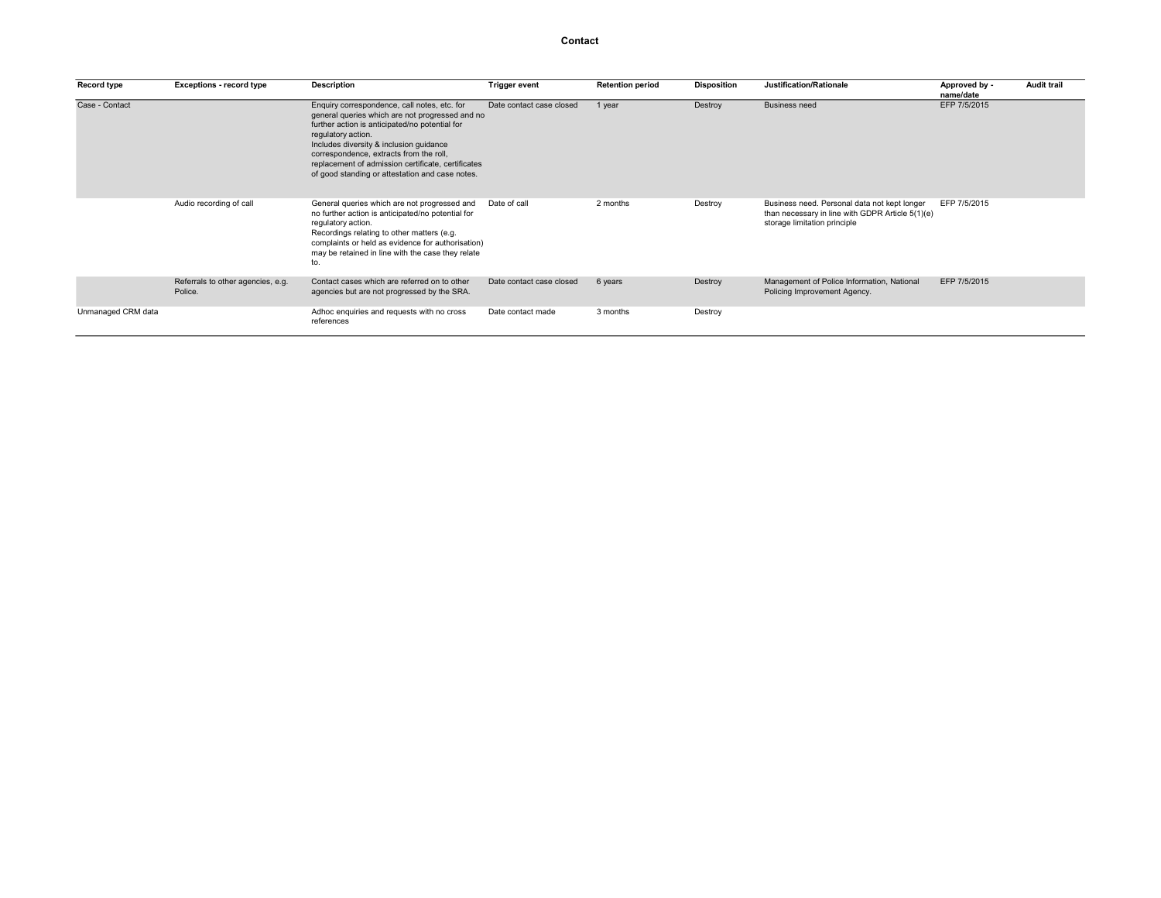### Contact

| Record type        | <b>Exceptions - record type</b>              | <b>Description</b>                                                                                                                                                                                                                                                                                                                                                     | <b>Trigger event</b>     | <b>Retention period</b> | <b>Disposition</b> | Justification/Rationale                                                                                                          | Approved by -<br>name/date | <b>Audit trail</b> |
|--------------------|----------------------------------------------|------------------------------------------------------------------------------------------------------------------------------------------------------------------------------------------------------------------------------------------------------------------------------------------------------------------------------------------------------------------------|--------------------------|-------------------------|--------------------|----------------------------------------------------------------------------------------------------------------------------------|----------------------------|--------------------|
| Case - Contact     |                                              | Enquiry correspondence, call notes, etc. for<br>general queries which are not progressed and no<br>further action is anticipated/no potential for<br>regulatory action.<br>Includes diversity & inclusion guidance<br>correspondence, extracts from the roll,<br>replacement of admission certificate, certificates<br>of good standing or attestation and case notes. | Date contact case closed | 1 year                  | Destroy            | <b>Business need</b>                                                                                                             | EFP 7/5/2015               |                    |
|                    | Audio recording of call                      | General queries which are not progressed and<br>no further action is anticipated/no potential for<br>regulatory action.<br>Recordings relating to other matters (e.g.<br>complaints or held as evidence for authorisation)<br>may be retained in line with the case they relate<br>to.                                                                                 | Date of call             | 2 months                | Destroy            | Business need. Personal data not kept longer<br>than necessary in line with GDPR Article 5(1)(e)<br>storage limitation principle | EFP 7/5/2015               |                    |
|                    | Referrals to other agencies, e.g.<br>Police. | Contact cases which are referred on to other<br>agencies but are not progressed by the SRA.                                                                                                                                                                                                                                                                            | Date contact case closed | 6 years                 | Destroy            | Management of Police Information, National<br>Policing Improvement Agency.                                                       | EFP 7/5/2015               |                    |
| Unmanaged CRM data |                                              | Adhoc enquiries and requests with no cross<br>references                                                                                                                                                                                                                                                                                                               | Date contact made        | 3 months                | Destroy            |                                                                                                                                  |                            |                    |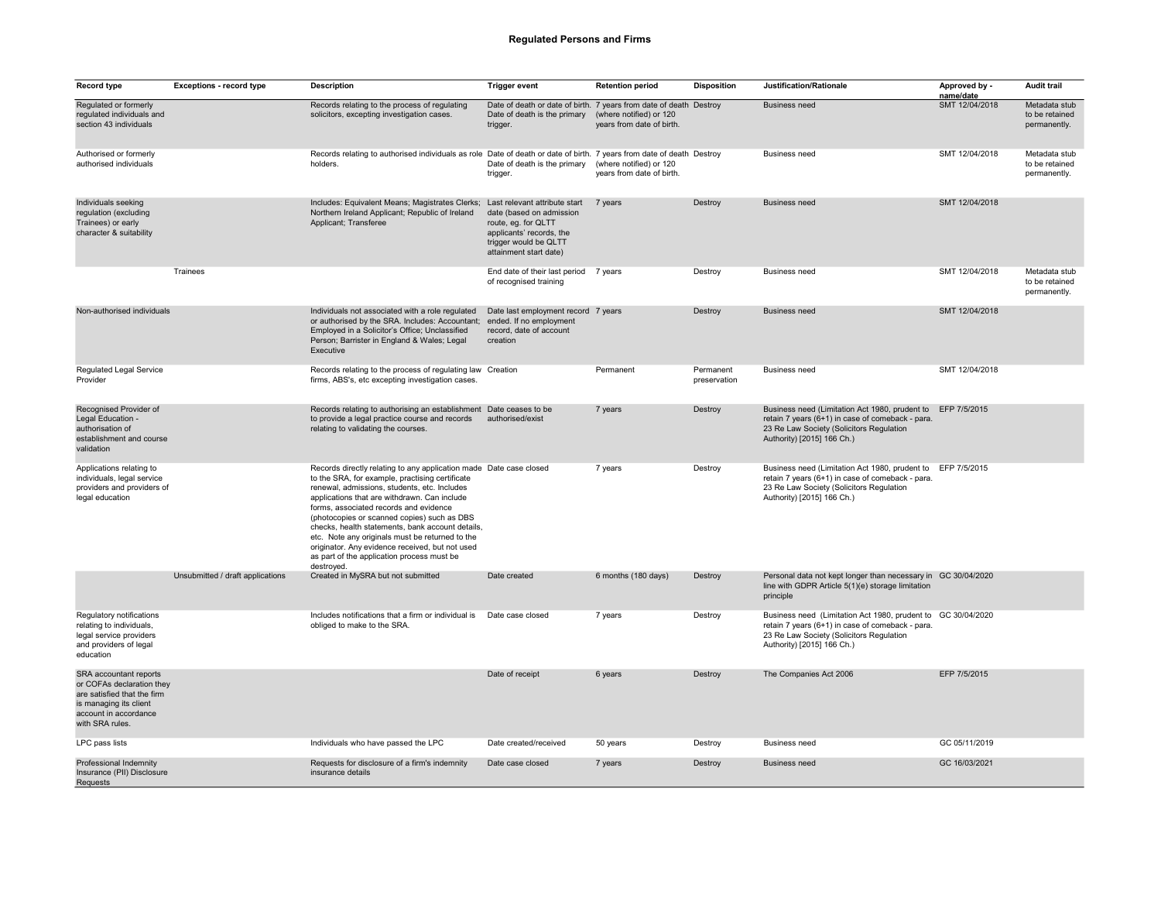## Regulated Persons and Firms

| Record type                                                                                                                                              | <b>Exceptions - record type</b>  | <b>Description</b>                                                                                                                                                                                                                                                                                                                                                                                                                                                                                                                   | <b>Trigger event</b>                                                                                                                                            | <b>Retention period</b>                              | <b>Disposition</b>        | Justification/Rationale                                                                                                                                                                    | Approved by -<br>name/date | <b>Audit trail</b>                              |
|----------------------------------------------------------------------------------------------------------------------------------------------------------|----------------------------------|--------------------------------------------------------------------------------------------------------------------------------------------------------------------------------------------------------------------------------------------------------------------------------------------------------------------------------------------------------------------------------------------------------------------------------------------------------------------------------------------------------------------------------------|-----------------------------------------------------------------------------------------------------------------------------------------------------------------|------------------------------------------------------|---------------------------|--------------------------------------------------------------------------------------------------------------------------------------------------------------------------------------------|----------------------------|-------------------------------------------------|
| Regulated or formerly<br>regulated individuals and<br>section 43 individuals                                                                             |                                  | Records relating to the process of regulating<br>solicitors, excepting investigation cases.                                                                                                                                                                                                                                                                                                                                                                                                                                          | Date of death or date of birth. 7 years from date of death Destroy<br>Date of death is the primary<br>trigger.                                                  | (where notified) or 120<br>years from date of birth. |                           | <b>Business need</b>                                                                                                                                                                       | SMT 12/04/2018             | Metadata stub<br>to be retained<br>permanently. |
| Authorised or formerly<br>authorised individuals                                                                                                         |                                  | Records relating to authorised individuals as role Date of death or date of birth. 7 years from date of death Destroy<br>holders.                                                                                                                                                                                                                                                                                                                                                                                                    | Date of death is the primary<br>trigger.                                                                                                                        | (where notified) or 120<br>years from date of birth. |                           | <b>Business need</b>                                                                                                                                                                       | SMT 12/04/2018             | Metadata stub<br>to be retained<br>permanently. |
| Individuals seeking<br>regulation (excluding<br>Trainees) or early<br>character & suitability                                                            |                                  | Includes: Equivalent Means; Magistrates Clerks;<br>Northern Ireland Applicant; Republic of Ireland<br>Applicant; Transferee                                                                                                                                                                                                                                                                                                                                                                                                          | Last relevant attribute start<br>date (based on admission<br>route, eg. for QLTT<br>applicants' records, the<br>trigger would be QLTT<br>attainment start date) | 7 years                                              | Destroy                   | <b>Business need</b>                                                                                                                                                                       | SMT 12/04/2018             |                                                 |
|                                                                                                                                                          | Trainees                         |                                                                                                                                                                                                                                                                                                                                                                                                                                                                                                                                      | End date of their last period 7 years<br>of recognised training                                                                                                 |                                                      | Destroy                   | <b>Business need</b>                                                                                                                                                                       | SMT 12/04/2018             | Metadata stub<br>to be retained<br>permanently. |
| Non-authorised individuals                                                                                                                               |                                  | Individuals not associated with a role regulated<br>or authorised by the SRA. Includes: Accountant;<br>Employed in a Solicitor's Office; Unclassified<br>Person; Barrister in England & Wales; Legal<br>Executive                                                                                                                                                                                                                                                                                                                    | Date last employment record 7 years<br>ended. If no employment<br>record, date of account<br>creation                                                           |                                                      | Destroy                   | <b>Business need</b>                                                                                                                                                                       | SMT 12/04/2018             |                                                 |
| Regulated Legal Service<br>Provider                                                                                                                      |                                  | Records relating to the process of regulating law Creation<br>firms, ABS's, etc excepting investigation cases.                                                                                                                                                                                                                                                                                                                                                                                                                       |                                                                                                                                                                 | Permanent                                            | Permanent<br>preservation | <b>Business need</b>                                                                                                                                                                       | SMT 12/04/2018             |                                                 |
| Recognised Provider of<br>Legal Education -<br>authorisation of<br>establishment and course<br>validation                                                |                                  | Records relating to authorising an establishment<br>to provide a legal practice course and records<br>relating to validating the courses.                                                                                                                                                                                                                                                                                                                                                                                            | Date ceases to be<br>authorised/exist                                                                                                                           | 7 years                                              | Destroy                   | Business need (Limitation Act 1980, prudent to<br>retain 7 years (6+1) in case of comeback - para.<br>23 Re Law Society (Solicitors Regulation<br>Authority) [2015] 166 Ch.)               | EFP 7/5/2015               |                                                 |
| Applications relating to<br>individuals, legal service<br>providers and providers of<br>legal education                                                  |                                  | Records directly relating to any application made Date case closed<br>to the SRA, for example, practising certificate<br>renewal, admissions, students, etc. Includes<br>applications that are withdrawn. Can include<br>forms, associated records and evidence<br>(photocopies or scanned copies) such as DBS<br>checks, health statements, bank account details,<br>etc. Note any originals must be returned to the<br>originator. Any evidence received, but not used<br>as part of the application process must be<br>destroyed. |                                                                                                                                                                 | 7 years                                              | Destroy                   | Business need (Limitation Act 1980, prudent to EFP 7/5/2015<br>retain 7 years (6+1) in case of comeback - para.<br>23 Re Law Society (Solicitors Regulation<br>Authority) [2015] 166 Ch.)  |                            |                                                 |
|                                                                                                                                                          | Unsubmitted / draft applications | Created in MySRA but not submitted                                                                                                                                                                                                                                                                                                                                                                                                                                                                                                   | Date created                                                                                                                                                    | 6 months (180 days)                                  | Destroy                   | Personal data not kept longer than necessary in GC 30/04/2020<br>line with GDPR Article 5(1)(e) storage limitation<br>principle                                                            |                            |                                                 |
| Regulatory notifications<br>relating to individuals,<br>legal service providers<br>and providers of legal<br>education                                   |                                  | Includes notifications that a firm or individual is<br>obliged to make to the SRA.                                                                                                                                                                                                                                                                                                                                                                                                                                                   | Date case closed                                                                                                                                                | 7 years                                              | Destroy                   | Business need (Limitation Act 1980, prudent to GC 30/04/2020<br>retain 7 years (6+1) in case of comeback - para.<br>23 Re Law Society (Solicitors Regulation<br>Authority) [2015] 166 Ch.) |                            |                                                 |
| SRA accountant reports<br>or COFAs declaration they<br>are satisfied that the firm<br>is managing its client<br>account in accordance<br>with SRA rules. |                                  |                                                                                                                                                                                                                                                                                                                                                                                                                                                                                                                                      | Date of receipt                                                                                                                                                 | 6 years                                              | Destroy                   | The Companies Act 2006                                                                                                                                                                     | EFP 7/5/2015               |                                                 |
| LPC pass lists                                                                                                                                           |                                  | Individuals who have passed the LPC                                                                                                                                                                                                                                                                                                                                                                                                                                                                                                  | Date created/received                                                                                                                                           | 50 years                                             | Destroy                   | <b>Business need</b>                                                                                                                                                                       | GC 05/11/2019              |                                                 |
| Professional Indemnity<br>Insurance (PII) Disclosure<br>Requests                                                                                         |                                  | Requests for disclosure of a firm's indemnity<br>insurance details                                                                                                                                                                                                                                                                                                                                                                                                                                                                   | Date case closed                                                                                                                                                | 7 years                                              | Destroy                   | <b>Business need</b>                                                                                                                                                                       | GC 16/03/2021              |                                                 |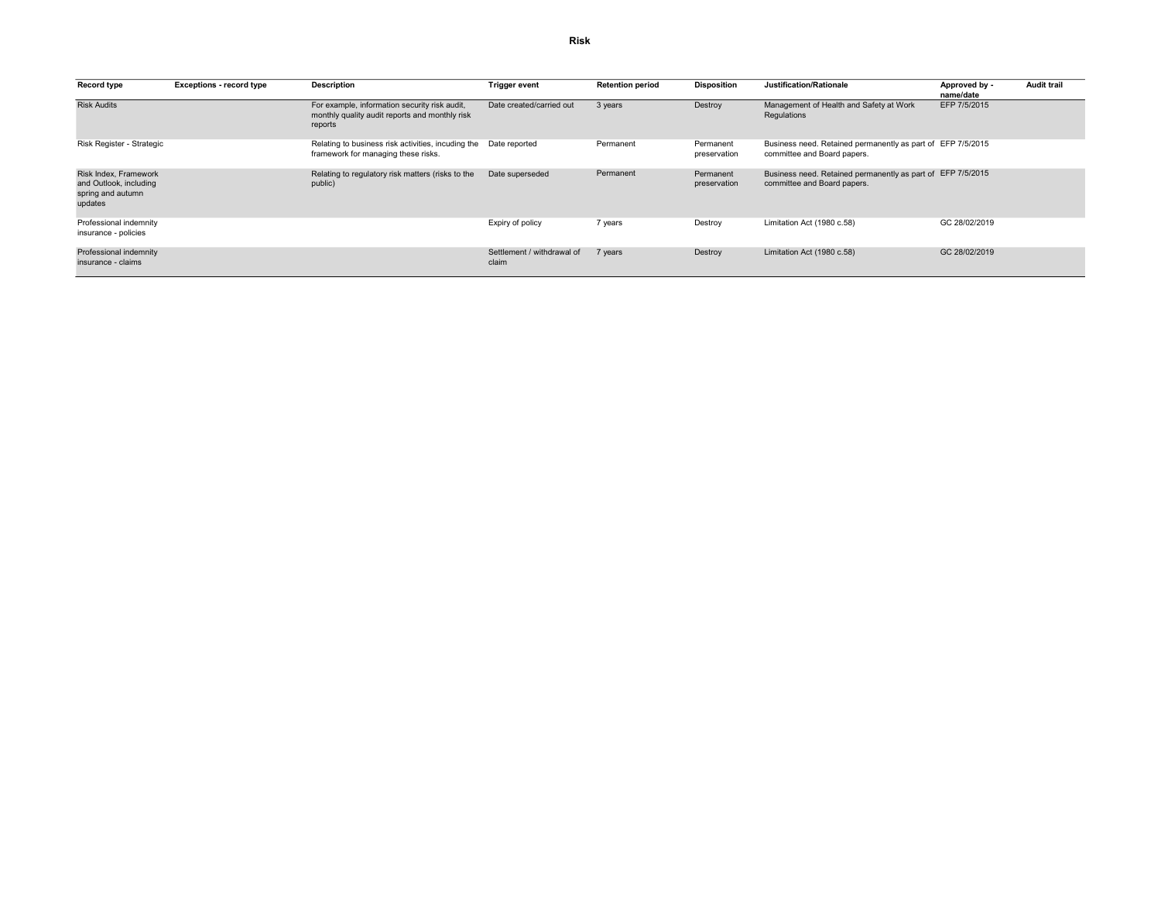| Record type                                                                     | <b>Exceptions - record type</b> | <b>Description</b>                                                                                         | <b>Trigger event</b>                | <b>Retention period</b> | <b>Disposition</b>        | Justification/Rationale                                                                    | Approved by -<br>name/date | <b>Audit trail</b> |
|---------------------------------------------------------------------------------|---------------------------------|------------------------------------------------------------------------------------------------------------|-------------------------------------|-------------------------|---------------------------|--------------------------------------------------------------------------------------------|----------------------------|--------------------|
| <b>Risk Audits</b>                                                              |                                 | For example, information security risk audit,<br>monthly quality audit reports and monthly risk<br>reports | Date created/carried out            | 3 years                 | Destroy                   | Management of Health and Safety at Work<br>Regulations                                     | EFP 7/5/2015               |                    |
| Risk Register - Strategic                                                       |                                 | Relating to business risk activities, incuding the Date reported<br>framework for managing these risks.    |                                     | Permanent               | Permanent<br>preservation | Business need. Retained permanently as part of EFP 7/5/2015<br>committee and Board papers. |                            |                    |
| Risk Index, Framework<br>and Outlook, including<br>spring and autumn<br>updates |                                 | Relating to regulatory risk matters (risks to the<br>public)                                               | Date superseded                     | Permanent               | Permanent<br>preservation | Business need. Retained permanently as part of EFP 7/5/2015<br>committee and Board papers. |                            |                    |
| Professional indemnity<br>insurance - policies                                  |                                 |                                                                                                            | Expiry of policy                    | 7 years                 | Destroy                   | Limitation Act (1980 c.58)                                                                 | GC 28/02/2019              |                    |
| Professional indemnity<br>insurance - claims                                    |                                 |                                                                                                            | Settlement / withdrawal of<br>claim | 7 years                 | Destroy                   | Limitation Act (1980 c.58)                                                                 | GC 28/02/2019              |                    |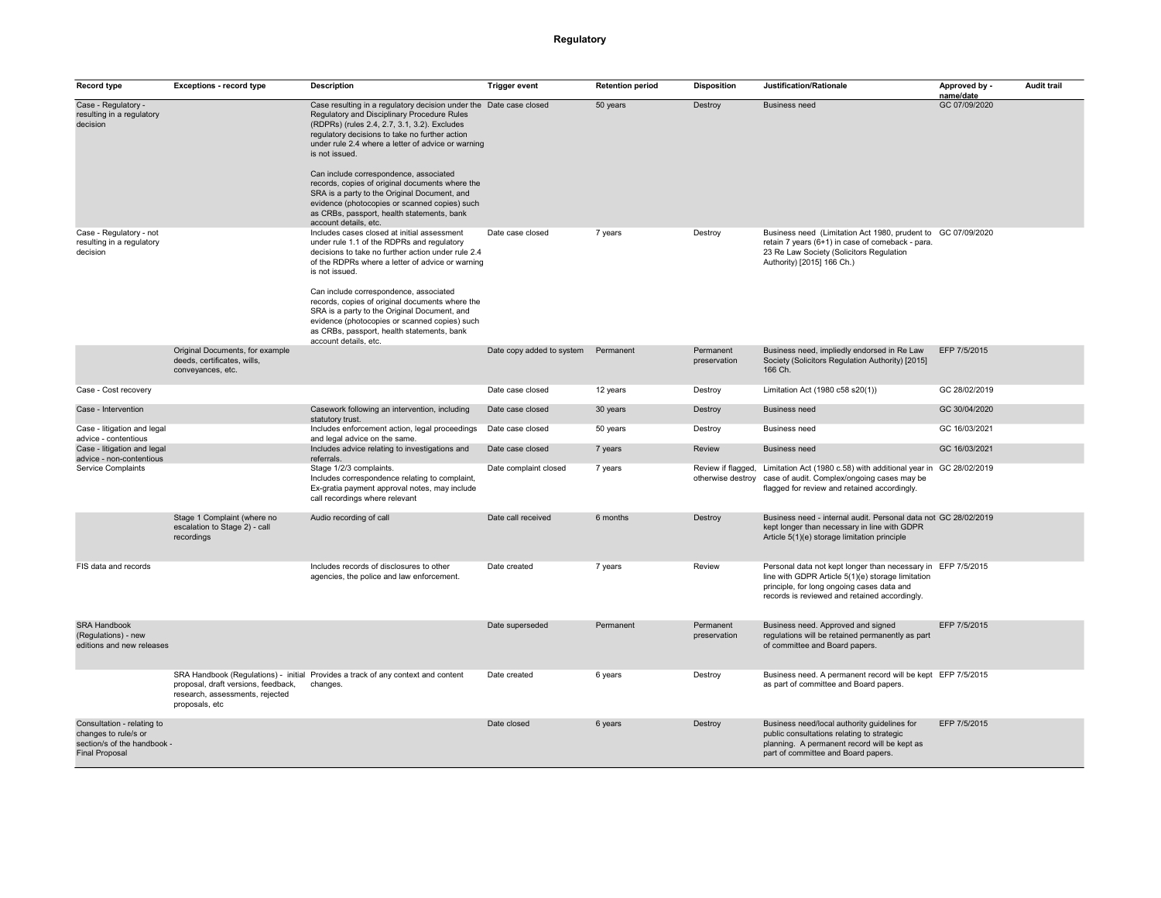## Regulatory

| Record type                                                                                                | <b>Exceptions - record type</b>                                                          | <b>Description</b>                                                                                                                                                                                                                                                                                                                                                                                                                                                                                                                                               | <b>Trigger event</b>      | <b>Retention period</b> | <b>Disposition</b>        | Justification/Rationale                                                                                                                                                                                          | Approved by -<br>name/date | <b>Audit trail</b> |
|------------------------------------------------------------------------------------------------------------|------------------------------------------------------------------------------------------|------------------------------------------------------------------------------------------------------------------------------------------------------------------------------------------------------------------------------------------------------------------------------------------------------------------------------------------------------------------------------------------------------------------------------------------------------------------------------------------------------------------------------------------------------------------|---------------------------|-------------------------|---------------------------|------------------------------------------------------------------------------------------------------------------------------------------------------------------------------------------------------------------|----------------------------|--------------------|
| Case - Regulatory -<br>resulting in a regulatory<br>decision                                               |                                                                                          | Case resulting in a regulatory decision under the Date case closed<br>Regulatory and Disciplinary Procedure Rules<br>(RDPRs) (rules 2.4, 2.7, 3.1, 3.2). Excludes<br>regulatory decisions to take no further action<br>under rule 2.4 where a letter of advice or warning<br>is not issued.<br>Can include correspondence, associated<br>records, copies of original documents where the<br>SRA is a party to the Original Document, and<br>evidence (photocopies or scanned copies) such<br>as CRBs, passport, health statements, bank<br>account details, etc. |                           | 50 years                | Destroy                   | <b>Business need</b>                                                                                                                                                                                             | GC 07/09/2020              |                    |
| Case - Regulatory - not<br>resulting in a regulatory<br>decision                                           |                                                                                          | Includes cases closed at initial assessment<br>under rule 1.1 of the RDPRs and regulatory<br>decisions to take no further action under rule 2.4<br>of the RDPRs where a letter of advice or warning<br>is not issued.<br>Can include correspondence, associated<br>records, copies of original documents where the<br>SRA is a party to the Original Document, and<br>evidence (photocopies or scanned copies) such<br>as CRBs, passport, health statements, bank<br>account details, etc.                                                                       | Date case closed          | 7 years                 | Destroy                   | Business need (Limitation Act 1980, prudent to GC 07/09/2020<br>retain 7 years (6+1) in case of comeback - para.<br>23 Re Law Society (Solicitors Regulation<br>Authority) [2015] 166 Ch.)                       |                            |                    |
|                                                                                                            | Original Documents, for example<br>deeds, certificates, wills,<br>conveyances, etc.      |                                                                                                                                                                                                                                                                                                                                                                                                                                                                                                                                                                  | Date copy added to system | Permanent               | Permanent<br>preservation | Business need, impliedly endorsed in Re Law<br>Society (Solicitors Regulation Authority) [2015]<br>166 Ch.                                                                                                       | EFP 7/5/2015               |                    |
| Case - Cost recovery                                                                                       |                                                                                          |                                                                                                                                                                                                                                                                                                                                                                                                                                                                                                                                                                  | Date case closed          | 12 years                | Destroy                   | Limitation Act (1980 c58 s20(1))                                                                                                                                                                                 | GC 28/02/2019              |                    |
| Case - Intervention                                                                                        |                                                                                          | Casework following an intervention, including<br>statutory trust.                                                                                                                                                                                                                                                                                                                                                                                                                                                                                                | Date case closed          | 30 years                | Destroy                   | <b>Business need</b>                                                                                                                                                                                             | GC 30/04/2020              |                    |
| Case - litigation and legal<br>advice - contentious                                                        |                                                                                          | Includes enforcement action, legal proceedings<br>and legal advice on the same.                                                                                                                                                                                                                                                                                                                                                                                                                                                                                  | Date case closed          | 50 years                | Destroy                   | <b>Business need</b>                                                                                                                                                                                             | GC 16/03/2021              |                    |
| Case - litigation and legal<br>advice - non-contentious                                                    |                                                                                          | Includes advice relating to investigations and<br>referrals.                                                                                                                                                                                                                                                                                                                                                                                                                                                                                                     | Date case closed          | 7 years                 | Review                    | Business need                                                                                                                                                                                                    | GC 16/03/2021              |                    |
| Service Complaints                                                                                         |                                                                                          | Stage 1/2/3 complaints.<br>Includes correspondence relating to complaint,<br>Ex-gratia payment approval notes, may include<br>call recordings where relevant                                                                                                                                                                                                                                                                                                                                                                                                     | Date complaint closed     | 7 years                 |                           | Review if flagged, Limitation Act (1980 c.58) with additional year in GC 28/02/2019<br>otherwise destroy case of audit. Complex/ongoing cases may be<br>flagged for review and retained accordingly.             |                            |                    |
|                                                                                                            | Stage 1 Complaint (where no<br>escalation to Stage 2) - call<br>recordings               | Audio recording of call                                                                                                                                                                                                                                                                                                                                                                                                                                                                                                                                          | Date call received        | 6 months                | Destroy                   | Business need - internal audit. Personal data not GC 28/02/2019<br>kept longer than necessary in line with GDPR<br>Article 5(1)(e) storage limitation principle                                                  |                            |                    |
| FIS data and records                                                                                       |                                                                                          | Includes records of disclosures to other<br>agencies, the police and law enforcement.                                                                                                                                                                                                                                                                                                                                                                                                                                                                            | Date created              | 7 years                 | Review                    | Personal data not kept longer than necessary in EFP 7/5/2015<br>line with GDPR Article 5(1)(e) storage limitation<br>principle, for long ongoing cases data and<br>records is reviewed and retained accordingly. |                            |                    |
| <b>SRA Handbook</b><br>(Regulations) - new<br>editions and new releases                                    |                                                                                          |                                                                                                                                                                                                                                                                                                                                                                                                                                                                                                                                                                  | Date superseded           | Permanent               | Permanent<br>preservation | Business need. Approved and signed<br>regulations will be retained permanently as part<br>of committee and Board papers.                                                                                         | EFP 7/5/2015               |                    |
|                                                                                                            | proposal, draft versions, feedback,<br>research, assessments, rejected<br>proposals, etc | SRA Handbook (Regulations) - initial Provides a track of any context and content<br>changes.                                                                                                                                                                                                                                                                                                                                                                                                                                                                     | Date created              | 6 years                 | Destroy                   | Business need. A permanent record will be kept EFP 7/5/2015<br>as part of committee and Board papers.                                                                                                            |                            |                    |
| Consultation - relating to<br>changes to rule/s or<br>section/s of the handbook -<br><b>Final Proposal</b> |                                                                                          |                                                                                                                                                                                                                                                                                                                                                                                                                                                                                                                                                                  | Date closed               | 6 years                 | Destroy                   | Business need/local authority guidelines for<br>public consultations relating to strategic<br>planning. A permanent record will be kept as<br>part of committee and Board papers.                                | EFP 7/5/2015               |                    |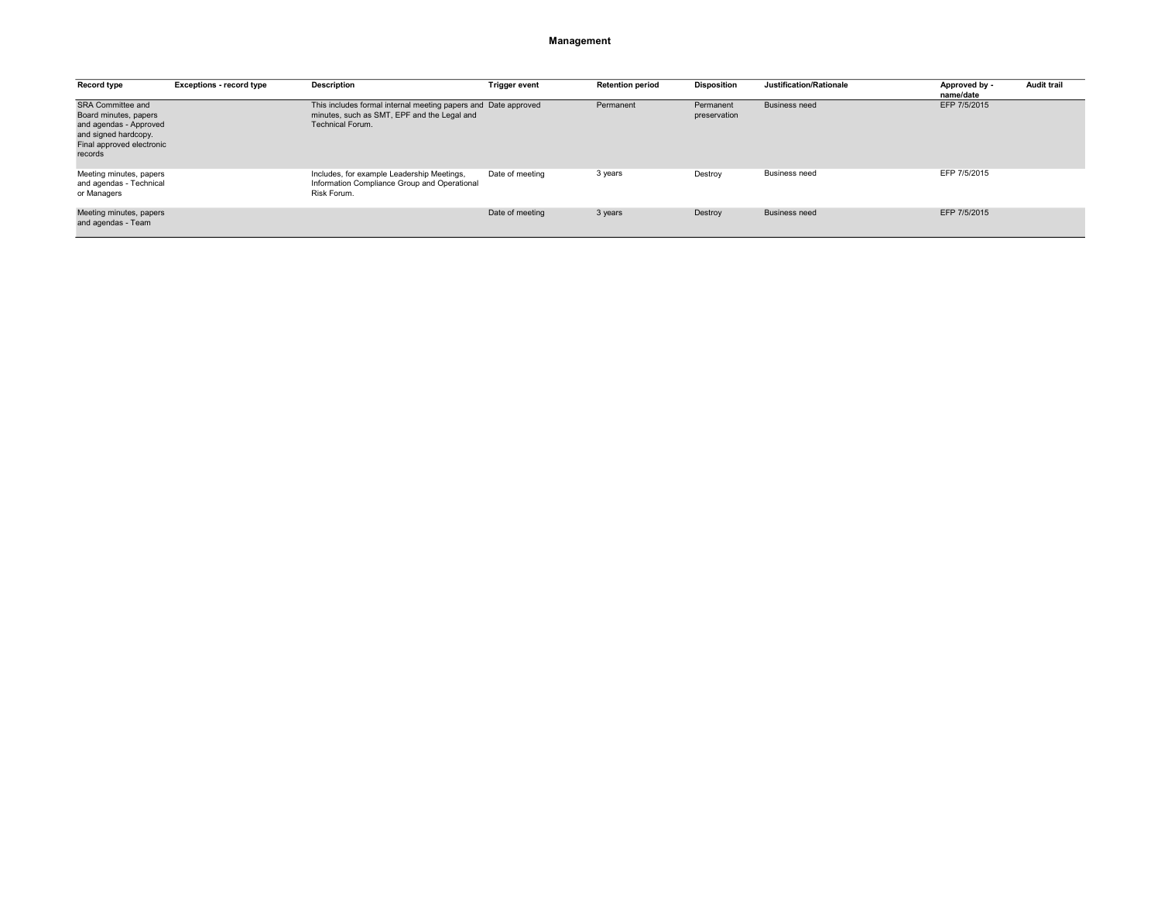### Management

| Record type                                                                                                                                 | <b>Exceptions - record type</b> | <b>Description</b>                                                                                                                | <b>Trigger event</b> | <b>Retention period</b> | <b>Disposition</b>        | Justification/Rationale | Approved by -<br>name/date | <b>Audit trail</b> |
|---------------------------------------------------------------------------------------------------------------------------------------------|---------------------------------|-----------------------------------------------------------------------------------------------------------------------------------|----------------------|-------------------------|---------------------------|-------------------------|----------------------------|--------------------|
| <b>SRA Committee and</b><br>Board minutes, papers<br>and agendas - Approved<br>and signed hardcopy.<br>Final approved electronic<br>records |                                 | This includes formal internal meeting papers and Date approved<br>minutes, such as SMT, EPF and the Legal and<br>Technical Forum. |                      | Permanent               | Permanent<br>preservation | <b>Business need</b>    | EFP 7/5/2015               |                    |
| Meeting minutes, papers<br>and agendas - Technical<br>or Managers                                                                           |                                 | Includes, for example Leadership Meetings,<br>Information Compliance Group and Operational<br>Risk Forum.                         | Date of meeting      | 3 years                 | Destroy                   | <b>Business need</b>    | EFP 7/5/2015               |                    |
| Meeting minutes, papers<br>and agendas - Team                                                                                               |                                 |                                                                                                                                   | Date of meeting      | 3 years                 | Destroy                   | <b>Business need</b>    | EFP 7/5/2015               |                    |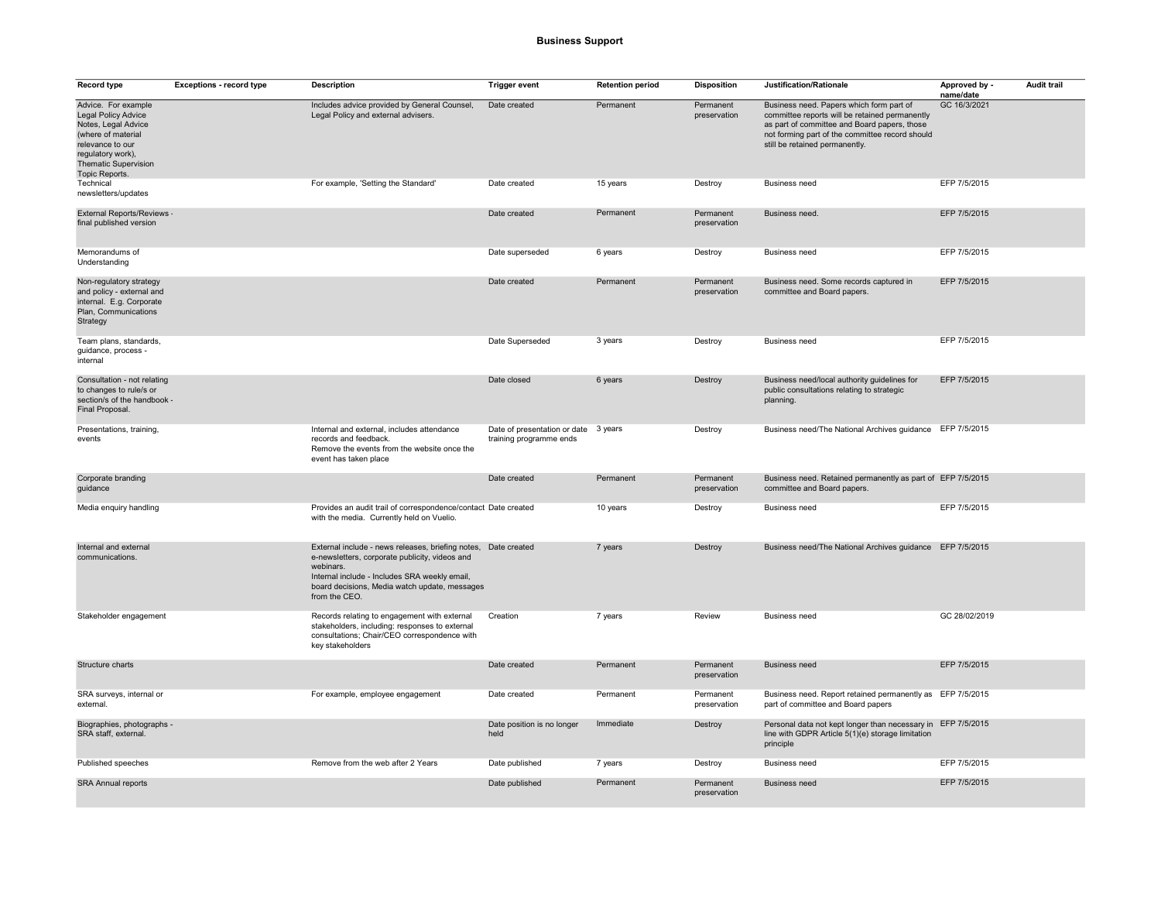| Record type                                                                                                                                                                              | <b>Exceptions - record type</b> | Description                                                                                                                                                                                                                                      | <b>Trigger event</b>                                            | <b>Retention period</b> | <b>Disposition</b>        | Justification/Rationale                                                                                                                                                                                                         | Approved by -<br>name/date | <b>Audit trail</b> |
|------------------------------------------------------------------------------------------------------------------------------------------------------------------------------------------|---------------------------------|--------------------------------------------------------------------------------------------------------------------------------------------------------------------------------------------------------------------------------------------------|-----------------------------------------------------------------|-------------------------|---------------------------|---------------------------------------------------------------------------------------------------------------------------------------------------------------------------------------------------------------------------------|----------------------------|--------------------|
| Advice. For example<br><b>Legal Policy Advice</b><br>Notes, Legal Advice<br>(where of material<br>relevance to our<br>regulatory work),<br><b>Thematic Supervision</b><br>Topic Reports. |                                 | Includes advice provided by General Counsel,<br>Legal Policy and external advisers.                                                                                                                                                              | Date created                                                    | Permanent               | Permanent<br>preservation | Business need. Papers which form part of<br>committee reports will be retained permanently<br>as part of committee and Board papers, those<br>not forming part of the committee record should<br>still be retained permanently. | GC 16/3/2021               |                    |
| Technical<br>newsletters/updates                                                                                                                                                         |                                 | For example, 'Setting the Standard'                                                                                                                                                                                                              | Date created                                                    | 15 years                | Destroy                   | <b>Business need</b>                                                                                                                                                                                                            | EFP 7/5/2015               |                    |
| External Reports/Reviews -<br>final published version                                                                                                                                    |                                 |                                                                                                                                                                                                                                                  | Date created                                                    | Permanent               | Permanent<br>preservation | Business need.                                                                                                                                                                                                                  | EFP 7/5/2015               |                    |
| Memorandums of<br>Understanding                                                                                                                                                          |                                 |                                                                                                                                                                                                                                                  | Date superseded                                                 | 6 years                 | Destroy                   | <b>Business need</b>                                                                                                                                                                                                            | EFP 7/5/2015               |                    |
| Non-regulatory strategy<br>and policy - external and<br>internal. E.g. Corporate<br>Plan, Communications<br>Strategy                                                                     |                                 |                                                                                                                                                                                                                                                  | Date created                                                    | Permanent               | Permanent<br>preservation | Business need. Some records captured in<br>committee and Board papers.                                                                                                                                                          | EFP 7/5/2015               |                    |
| Team plans, standards,<br>guidance, process -<br>internal                                                                                                                                |                                 |                                                                                                                                                                                                                                                  | Date Superseded                                                 | 3 years                 | Destroy                   | <b>Business need</b>                                                                                                                                                                                                            | EFP 7/5/2015               |                    |
| Consultation - not relating<br>to changes to rule/s or<br>section/s of the handbook -<br>Final Proposal.                                                                                 |                                 |                                                                                                                                                                                                                                                  | Date closed                                                     | 6 years                 | Destroy                   | Business need/local authority guidelines for<br>public consultations relating to strategic<br>planning.                                                                                                                         | EFP 7/5/2015               |                    |
| Presentations, training,<br>events                                                                                                                                                       |                                 | Internal and external, includes attendance<br>records and feedback.<br>Remove the events from the website once the<br>event has taken place                                                                                                      | Date of presentation or date 3 years<br>training programme ends |                         | Destroy                   | Business need/The National Archives guidance EFP 7/5/2015                                                                                                                                                                       |                            |                    |
| Corporate branding<br>guidance                                                                                                                                                           |                                 |                                                                                                                                                                                                                                                  | Date created                                                    | Permanent               | Permanent<br>preservation | Business need. Retained permanently as part of EFP 7/5/2015<br>committee and Board papers.                                                                                                                                      |                            |                    |
| Media enquiry handling                                                                                                                                                                   |                                 | Provides an audit trail of correspondence/contact Date created<br>with the media. Currently held on Vuelio.                                                                                                                                      |                                                                 | 10 years                | Destroy                   | <b>Business need</b>                                                                                                                                                                                                            | EFP 7/5/2015               |                    |
| Internal and external<br>communications.                                                                                                                                                 |                                 | External include - news releases, briefing notes, Date created<br>e-newsletters, corporate publicity, videos and<br>webinars.<br>Internal include - Includes SRA weekly email,<br>board decisions, Media watch update, messages<br>from the CEO. |                                                                 | 7 years                 | Destroy                   | Business need/The National Archives guidance EFP 7/5/2015                                                                                                                                                                       |                            |                    |
| Stakeholder engagement                                                                                                                                                                   |                                 | Records relating to engagement with external<br>stakeholders, including: responses to external<br>consultations; Chair/CEO correspondence with<br>key stakeholders                                                                               | Creation                                                        | 7 years                 | Review                    | <b>Business need</b>                                                                                                                                                                                                            | GC 28/02/2019              |                    |
| Structure charts                                                                                                                                                                         |                                 |                                                                                                                                                                                                                                                  | Date created                                                    | Permanent               | Permanent<br>preservation | <b>Business need</b>                                                                                                                                                                                                            | EFP 7/5/2015               |                    |
| SRA surveys, internal or<br>external.                                                                                                                                                    |                                 | For example, employee engagement                                                                                                                                                                                                                 | Date created                                                    | Permanent               | Permanent<br>preservation | Business need. Report retained permanently as EFP 7/5/2015<br>part of committee and Board papers                                                                                                                                |                            |                    |
| Biographies, photographs -<br>SRA staff, external.                                                                                                                                       |                                 |                                                                                                                                                                                                                                                  | Date position is no longer<br>held                              | Immediate               | Destroy                   | Personal data not kept longer than necessary in EFP 7/5/2015<br>line with GDPR Article 5(1)(e) storage limitation<br>principle                                                                                                  |                            |                    |
| Published speeches                                                                                                                                                                       |                                 | Remove from the web after 2 Years                                                                                                                                                                                                                | Date published                                                  | 7 years                 | Destroy                   | <b>Business need</b>                                                                                                                                                                                                            | EFP 7/5/2015               |                    |
| <b>SRA Annual reports</b>                                                                                                                                                                |                                 |                                                                                                                                                                                                                                                  | Date published                                                  | Permanent               | Permanent<br>preservation | <b>Business need</b>                                                                                                                                                                                                            | EFP 7/5/2015               |                    |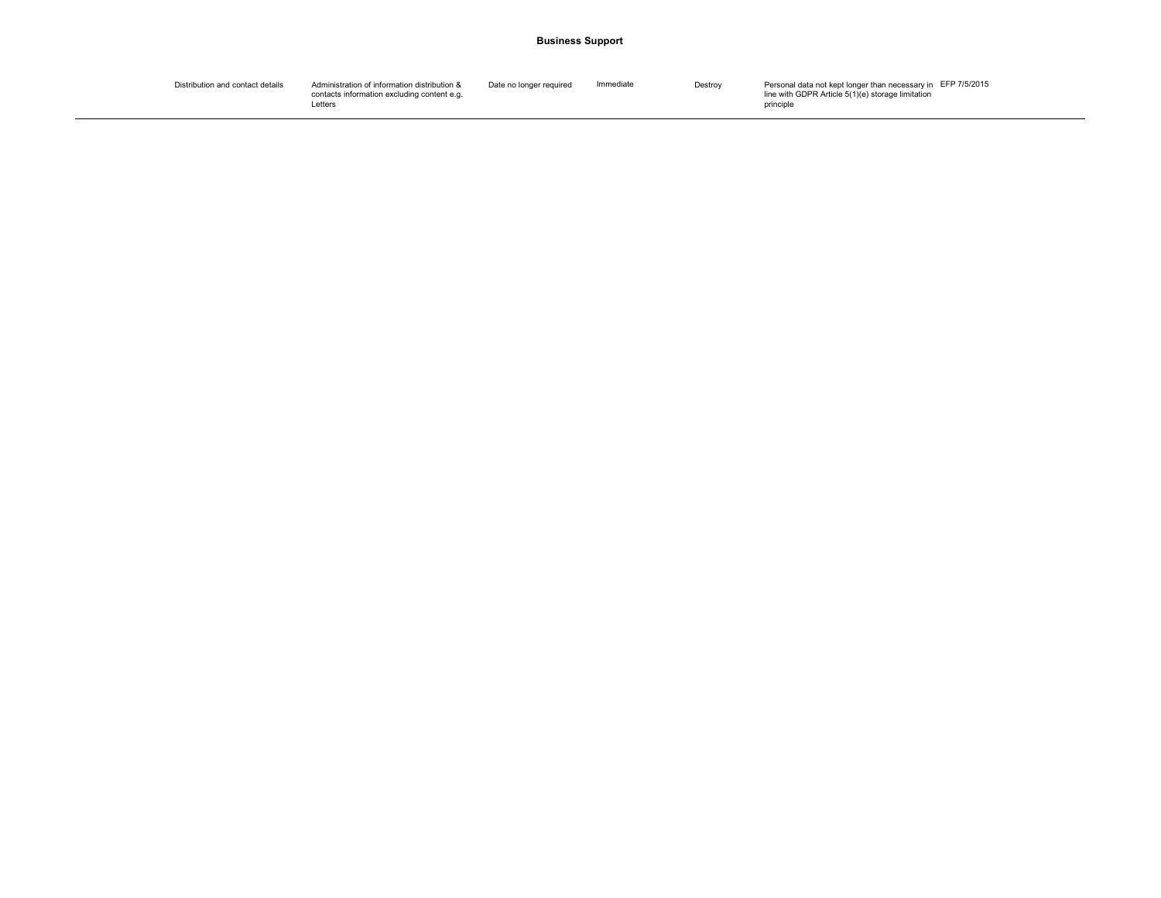### Business Support

| Distribution and contact details | Administration of information distribution & | Date no longer required | Immediate | Destroy | Personal data not kept longer than necessary in EFP 7/5/2015 |
|----------------------------------|----------------------------------------------|-------------------------|-----------|---------|--------------------------------------------------------------|
|                                  | contacts information excluding content e.g.  |                         |           |         | line with GDPR Article 5(1)(e) storage limitation            |
|                                  | Letters                                      |                         |           |         | principle                                                    |
|                                  |                                              |                         |           |         |                                                              |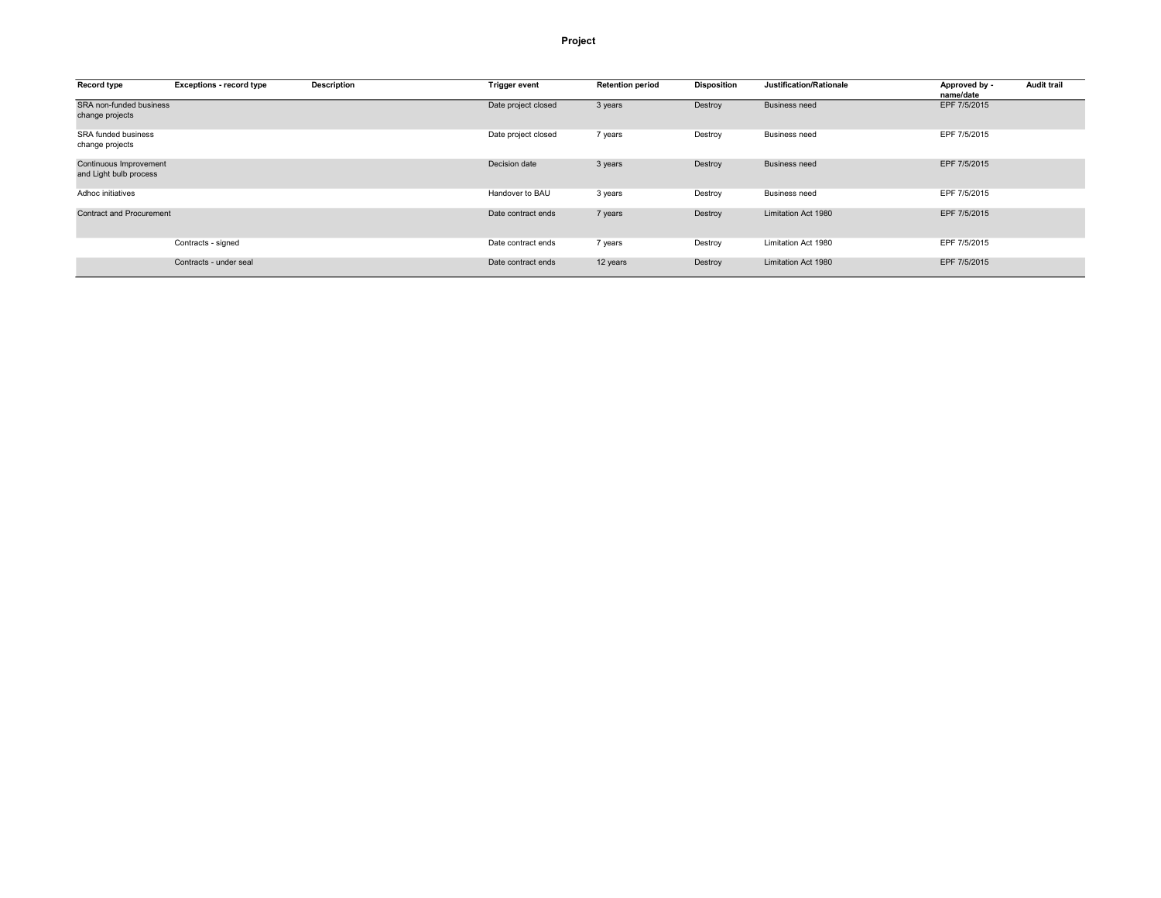### Project

| Record type                                      | <b>Exceptions - record type</b> | <b>Description</b> | <b>Trigger event</b> | <b>Retention period</b> | <b>Disposition</b> | Justification/Rationale | Approved by - | <b>Audit trail</b> |
|--------------------------------------------------|---------------------------------|--------------------|----------------------|-------------------------|--------------------|-------------------------|---------------|--------------------|
|                                                  |                                 |                    |                      |                         |                    |                         | name/date     |                    |
| SRA non-funded business<br>change projects       |                                 |                    | Date project closed  | 3 years                 | Destroy            | <b>Business need</b>    | EPF 7/5/2015  |                    |
| <b>SRA funded business</b><br>change projects    |                                 |                    | Date project closed  | 7 years                 | Destroy            | <b>Business need</b>    | EPF 7/5/2015  |                    |
| Continuous Improvement<br>and Light bulb process |                                 |                    | Decision date        | 3 years                 | Destroy            | <b>Business need</b>    | EPF 7/5/2015  |                    |
| Adhoc initiatives                                |                                 |                    | Handover to BAU      | 3 years                 | Destroy            | <b>Business need</b>    | EPF 7/5/2015  |                    |
| <b>Contract and Procurement</b>                  |                                 |                    | Date contract ends   | 7 years                 | Destroy            | Limitation Act 1980     | EPF 7/5/2015  |                    |
|                                                  | Contracts - signed              |                    | Date contract ends   | 7 years                 | Destroy            | Limitation Act 1980     | EPF 7/5/2015  |                    |
|                                                  | Contracts - under seal          |                    | Date contract ends   | 12 years                | Destroy            | Limitation Act 1980     | EPF 7/5/2015  |                    |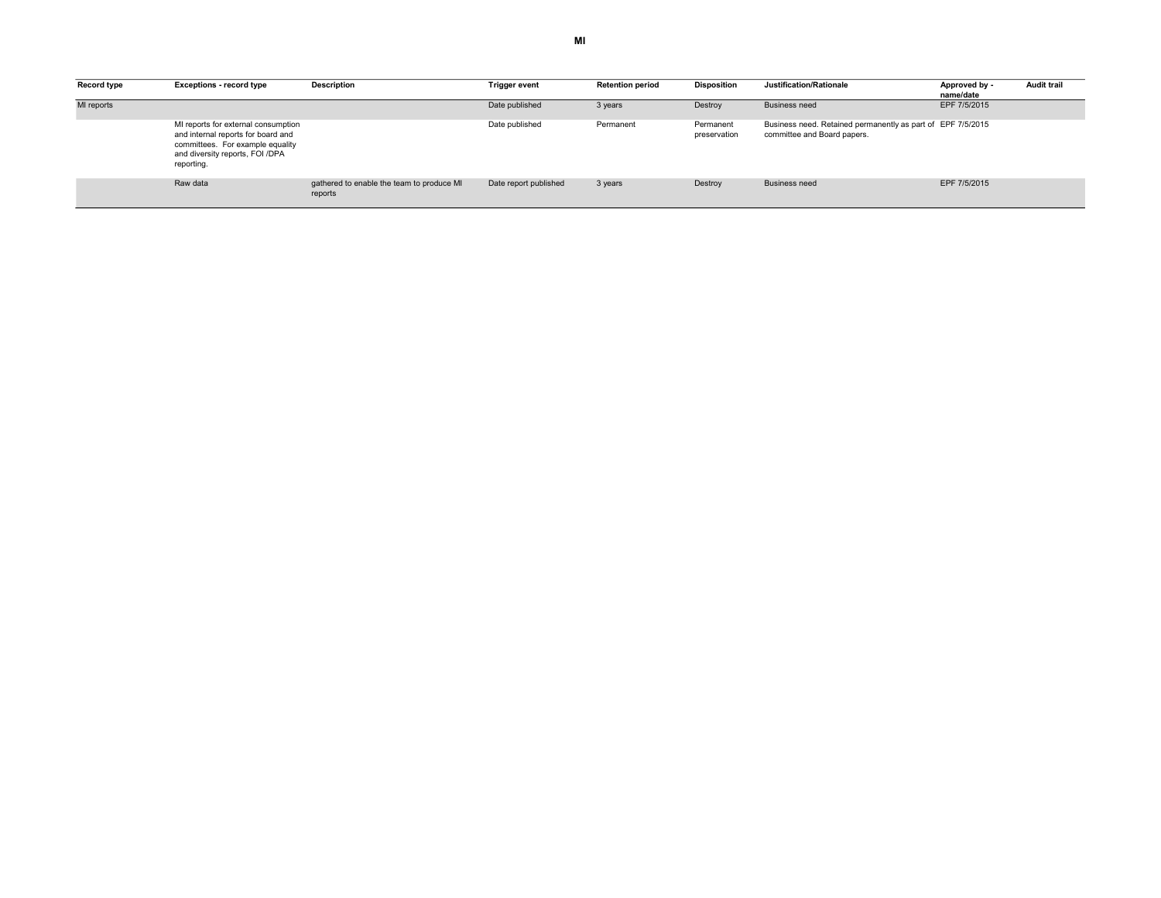| Record type | <b>Exceptions - record type</b>                                                                                                                                | <b>Description</b>                                   | <b>Trigger event</b>  | <b>Retention period</b> | <b>Disposition</b>        | Justification/Rationale                                                                    | Approved by -<br>name/date | <b>Audit trail</b> |
|-------------|----------------------------------------------------------------------------------------------------------------------------------------------------------------|------------------------------------------------------|-----------------------|-------------------------|---------------------------|--------------------------------------------------------------------------------------------|----------------------------|--------------------|
| MI reports  |                                                                                                                                                                |                                                      | Date published        | 3 years                 | Destroy                   | <b>Business need</b>                                                                       | EPF 7/5/2015               |                    |
|             | MI reports for external consumption<br>and internal reports for board and<br>committees. For example equality<br>and diversity reports, FOI /DPA<br>reporting. |                                                      | Date published        | Permanent               | Permanent<br>preservation | Business need. Retained permanently as part of EPF 7/5/2015<br>committee and Board papers. |                            |                    |
|             | Raw data                                                                                                                                                       | gathered to enable the team to produce MI<br>reports | Date report published | 3 years                 | Destroy                   | <b>Business need</b>                                                                       | EPF 7/5/2015               |                    |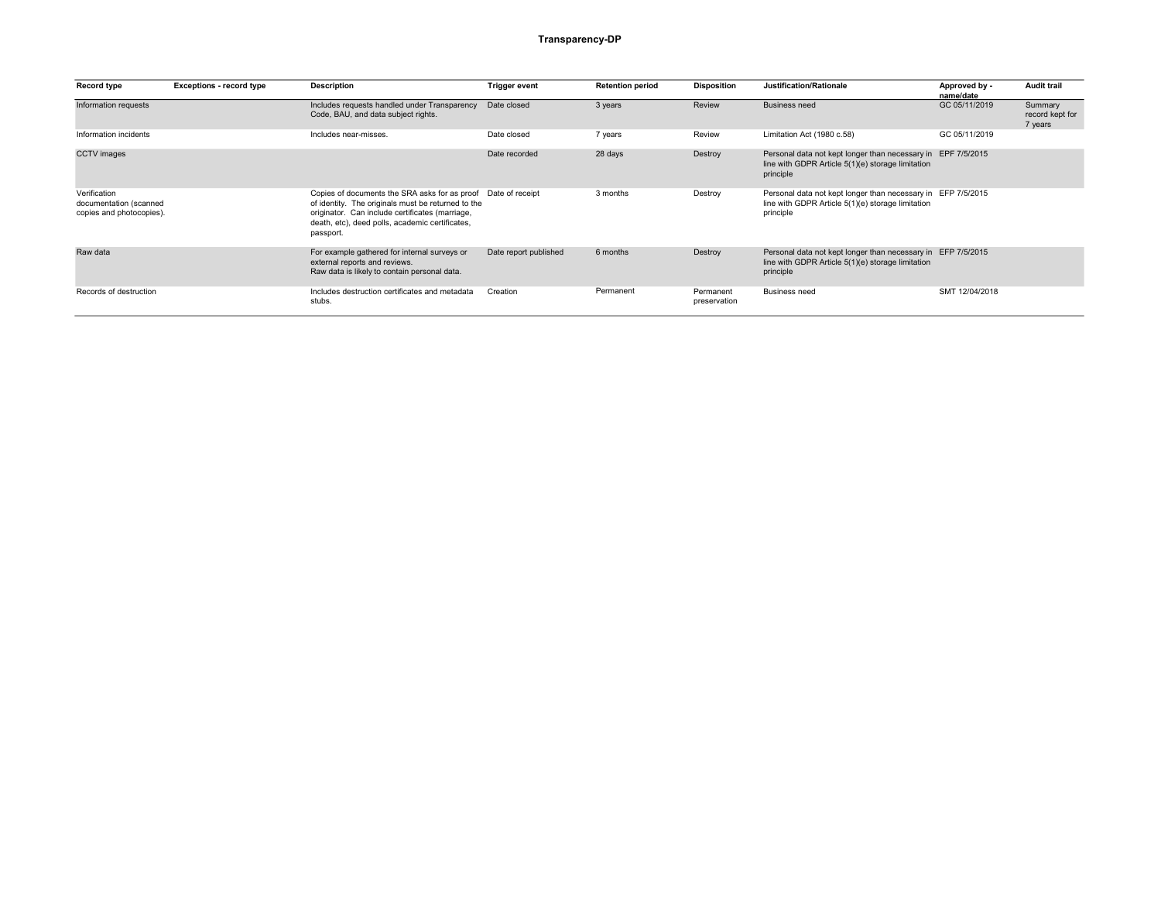## Transparency-DP

| Record type                                                        | <b>Exceptions - record type</b> | <b>Description</b>                                                                                                                                                                                                     | <b>Trigger event</b>  | <b>Retention period</b> | <b>Disposition</b>        | Justification/Rationale                                                                                                        | Approved by -<br>name/date | <b>Audit trail</b>                    |
|--------------------------------------------------------------------|---------------------------------|------------------------------------------------------------------------------------------------------------------------------------------------------------------------------------------------------------------------|-----------------------|-------------------------|---------------------------|--------------------------------------------------------------------------------------------------------------------------------|----------------------------|---------------------------------------|
| Information requests                                               |                                 | Includes requests handled under Transparency<br>Code, BAU, and data subject rights.                                                                                                                                    | Date closed           | 3 years                 | Review                    | Business need                                                                                                                  | GC 05/11/2019              | Summary<br>record kept for<br>7 years |
| Information incidents                                              |                                 | Includes near-misses.                                                                                                                                                                                                  | Date closed           | 7 years                 | Review                    | Limitation Act (1980 c.58)                                                                                                     | GC 05/11/2019              |                                       |
| <b>CCTV</b> images                                                 |                                 |                                                                                                                                                                                                                        | Date recorded         | 28 days                 | Destroy                   | Personal data not kept longer than necessary in EPF 7/5/2015<br>line with GDPR Article 5(1)(e) storage limitation<br>principle |                            |                                       |
| Verification<br>documentation (scanned<br>copies and photocopies). |                                 | Copies of documents the SRA asks for as proof<br>of identity. The originals must be returned to the<br>originator. Can include certificates (marriage,<br>death, etc), deed polls, academic certificates,<br>passport. | Date of receipt       | 3 months                | Destroy                   | Personal data not kept longer than necessary in EFP 7/5/2015<br>line with GDPR Article 5(1)(e) storage limitation<br>principle |                            |                                       |
| Raw data                                                           |                                 | For example gathered for internal surveys or<br>external reports and reviews.<br>Raw data is likely to contain personal data.                                                                                          | Date report published | 6 months                | Destroy                   | Personal data not kept longer than necessary in EFP 7/5/2015<br>line with GDPR Article 5(1)(e) storage limitation<br>principle |                            |                                       |
| Records of destruction                                             |                                 | Includes destruction certificates and metadata<br>stubs.                                                                                                                                                               | Creation              | Permanent               | Permanent<br>preservation | <b>Business need</b>                                                                                                           | SMT 12/04/2018             |                                       |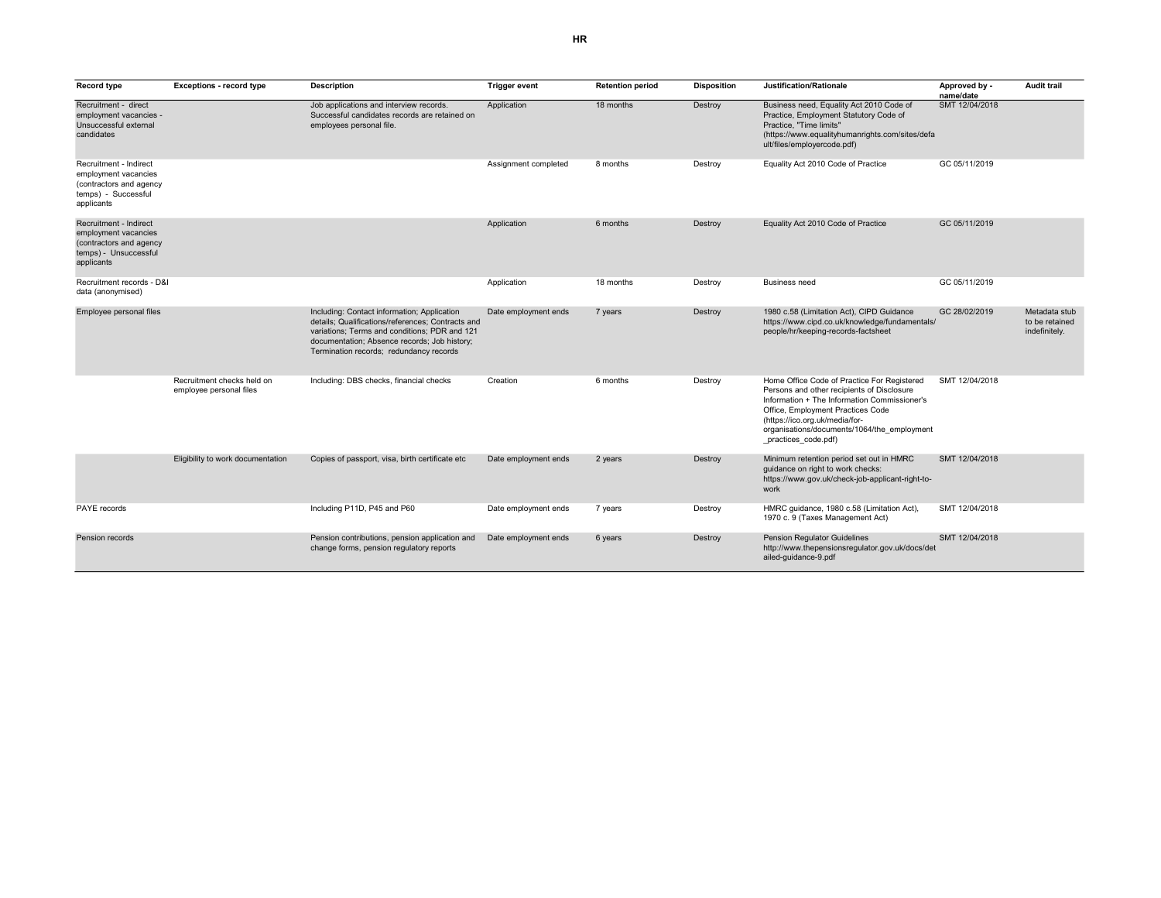| <b>Record type</b>                                                                                               | <b>Exceptions - record type</b>                       | <b>Description</b>                                                                                                                                                                                                                           | <b>Trigger event</b> | <b>Retention period</b> | <b>Disposition</b> | Justification/Rationale                                                                                                                                                                                                                                                                | Approved by -<br>name/date | <b>Audit trail</b>                               |
|------------------------------------------------------------------------------------------------------------------|-------------------------------------------------------|----------------------------------------------------------------------------------------------------------------------------------------------------------------------------------------------------------------------------------------------|----------------------|-------------------------|--------------------|----------------------------------------------------------------------------------------------------------------------------------------------------------------------------------------------------------------------------------------------------------------------------------------|----------------------------|--------------------------------------------------|
| Recruitment - direct<br>employment vacancies -<br>Unsuccessful external<br>candidates                            |                                                       | Job applications and interview records.<br>Successful candidates records are retained on<br>employees personal file.                                                                                                                         | Application          | 18 months               | Destroy            | Business need, Equality Act 2010 Code of<br>Practice, Employment Statutory Code of<br>Practice. "Time limits"<br>(https://www.equalityhumanrights.com/sites/defa<br>ult/files/employercode.pdf)                                                                                        | SMT 12/04/2018             |                                                  |
| Recruitment - Indirect<br>employment vacancies<br>(contractors and agency<br>temps) - Successful<br>applicants   |                                                       |                                                                                                                                                                                                                                              | Assignment completed | 8 months                | Destroy            | Equality Act 2010 Code of Practice                                                                                                                                                                                                                                                     | GC 05/11/2019              |                                                  |
| Recruitment - Indirect<br>employment vacancies<br>(contractors and agency<br>temps) - Unsuccessful<br>applicants |                                                       |                                                                                                                                                                                                                                              | Application          | 6 months                | Destroy            | Equality Act 2010 Code of Practice                                                                                                                                                                                                                                                     | GC 05/11/2019              |                                                  |
| Recruitment records - D&I<br>data (anonymised)                                                                   |                                                       |                                                                                                                                                                                                                                              | Application          | 18 months               | Destroy            | Business need                                                                                                                                                                                                                                                                          | GC 05/11/2019              |                                                  |
| Employee personal files                                                                                          |                                                       | Including: Contact information; Application<br>details: Qualifications/references: Contracts and<br>variations; Terms and conditions; PDR and 121<br>documentation; Absence records; Job history;<br>Termination records; redundancy records | Date employment ends | 7 years                 | Destroy            | 1980 c.58 (Limitation Act), CIPD Guidance<br>https://www.cipd.co.uk/knowledge/fundamentals/<br>people/hr/keeping-records-factsheet                                                                                                                                                     | GC 28/02/2019              | Metadata stub<br>to be retained<br>indefinitely. |
|                                                                                                                  | Recruitment checks held on<br>employee personal files | Including: DBS checks, financial checks                                                                                                                                                                                                      | Creation             | 6 months                | Destroy            | Home Office Code of Practice For Registered<br>Persons and other recipients of Disclosure<br>Information + The Information Commissioner's<br>Office, Employment Practices Code<br>(https://ico.org.uk/media/for-<br>organisations/documents/1064/the employment<br>practices code.pdf) | SMT 12/04/2018             |                                                  |
|                                                                                                                  | Eligibility to work documentation                     | Copies of passport, visa, birth certificate etc                                                                                                                                                                                              | Date employment ends | 2 years                 | Destroy            | Minimum retention period set out in HMRC<br>guidance on right to work checks:<br>https://www.gov.uk/check-job-applicant-right-to-<br>work                                                                                                                                              | SMT 12/04/2018             |                                                  |
| PAYE records                                                                                                     |                                                       | Including P11D, P45 and P60                                                                                                                                                                                                                  | Date employment ends | 7 years                 | Destroy            | HMRC guidance, 1980 c.58 (Limitation Act),<br>1970 c. 9 (Taxes Management Act)                                                                                                                                                                                                         | SMT 12/04/2018             |                                                  |
| <b>Pension records</b>                                                                                           |                                                       | Pension contributions, pension application and<br>change forms, pension regulatory reports                                                                                                                                                   | Date employment ends | 6 years                 | Destroy            | <b>Pension Regulator Guidelines</b><br>http://www.thepensionsregulator.gov.uk/docs/det<br>ailed-guidance-9.pdf                                                                                                                                                                         | SMT 12/04/2018             |                                                  |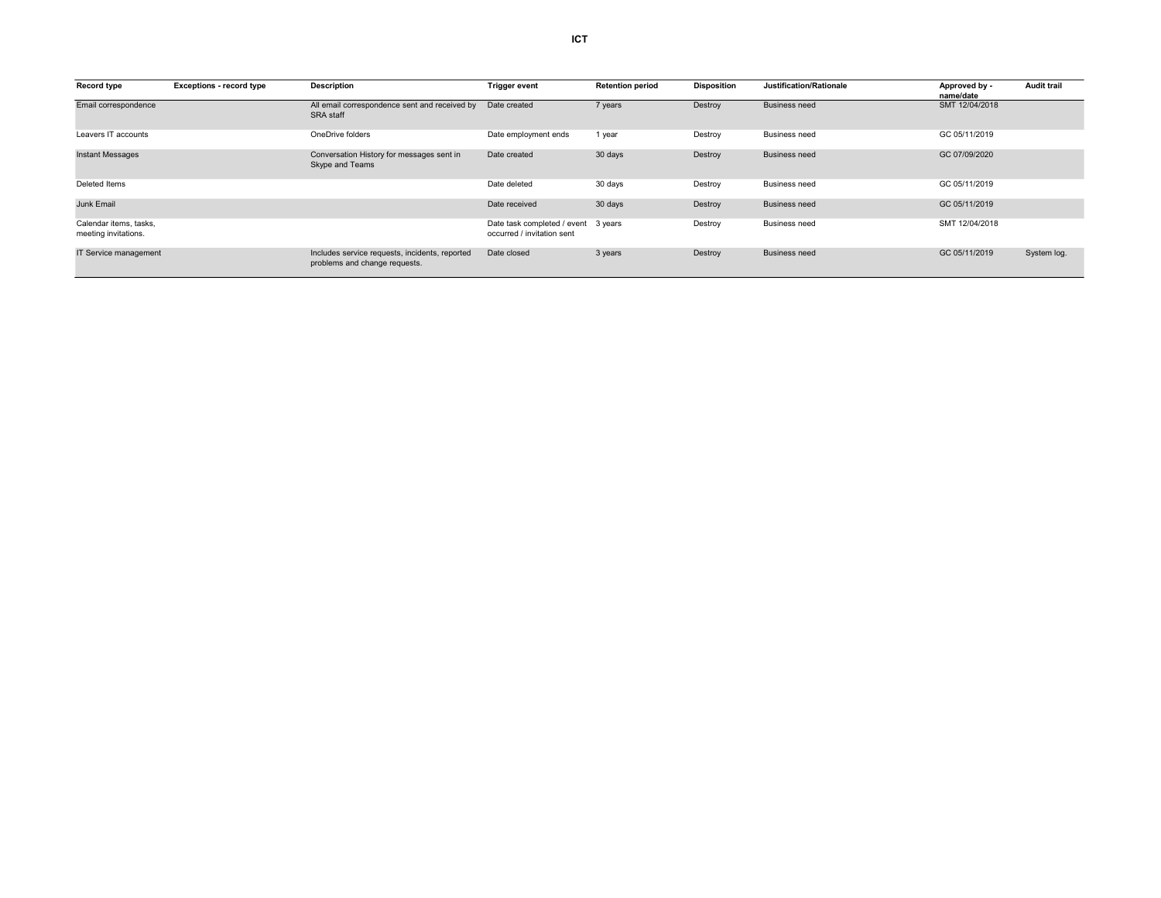| <b>Record type</b>                             | <b>Exceptions - record type</b> | <b>Description</b>                                                              | <b>Trigger event</b>                                      | <b>Retention period</b> | <b>Disposition</b> | Justification/Rationale | Approved by -<br>name/date | <b>Audit trail</b> |
|------------------------------------------------|---------------------------------|---------------------------------------------------------------------------------|-----------------------------------------------------------|-------------------------|--------------------|-------------------------|----------------------------|--------------------|
| Email correspondence                           |                                 | All email correspondence sent and received by<br>SRA staff                      | Date created                                              | 7 years                 | Destroy            | <b>Business need</b>    | SMT 12/04/2018             |                    |
| Leavers IT accounts                            |                                 | OneDrive folders                                                                | Date employment ends                                      | 1 year                  | Destroy            | <b>Business need</b>    | GC 05/11/2019              |                    |
| <b>Instant Messages</b>                        |                                 | Conversation History for messages sent in<br>Skype and Teams                    | Date created                                              | 30 days                 | Destroy            | <b>Business need</b>    | GC 07/09/2020              |                    |
| Deleted Items                                  |                                 |                                                                                 | Date deleted                                              | 30 days                 | Destroy            | <b>Business need</b>    | GC 05/11/2019              |                    |
| <b>Junk Email</b>                              |                                 |                                                                                 | Date received                                             | 30 days                 | Destroy            | <b>Business need</b>    | GC 05/11/2019              |                    |
| Calendar items, tasks,<br>meeting invitations. |                                 |                                                                                 | Date task completed / event<br>occurred / invitation sent | 3 vears                 | Destroy            | <b>Business need</b>    | SMT 12/04/2018             |                    |
| IT Service management                          |                                 | Includes service requests, incidents, reported<br>problems and change requests. | Date closed                                               | 3 years                 | Destroy            | <b>Business need</b>    | GC 05/11/2019              | System log.        |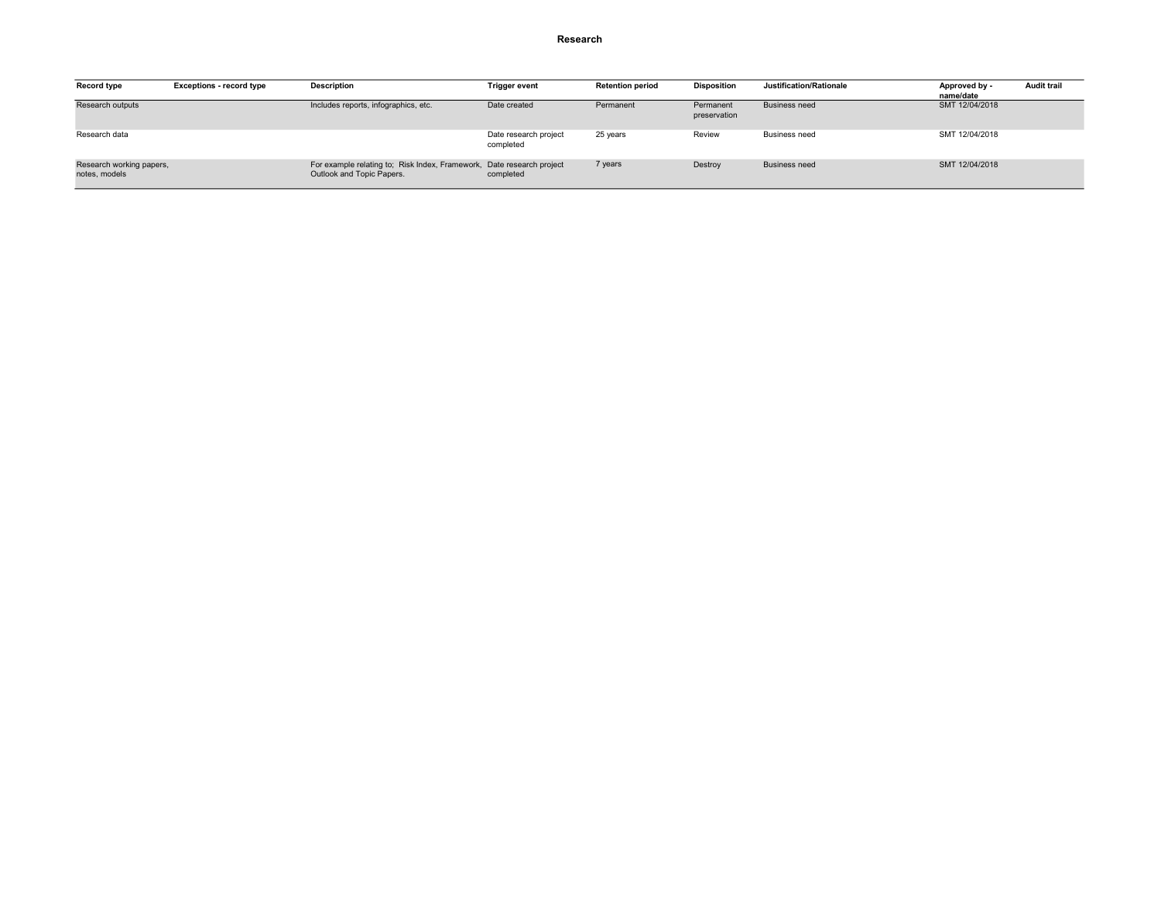#### Research

| Record type                               | <b>Exceptions - record type</b> | <b>Description</b>                                                                                 | <b>Trigger event</b>               | <b>Retention period</b> | <b>Disposition</b>        | Justification/Rationale | Approved by -<br>name/date | <b>Audit trail</b> |
|-------------------------------------------|---------------------------------|----------------------------------------------------------------------------------------------------|------------------------------------|-------------------------|---------------------------|-------------------------|----------------------------|--------------------|
| Research outputs                          |                                 | Includes reports, infographics, etc.                                                               | Date created                       | Permanent               | Permanent<br>preservation | <b>Business need</b>    | SMT 12/04/2018             |                    |
| Research data                             |                                 |                                                                                                    | Date research project<br>completed | 25 years                | Review                    | <b>Business need</b>    | SMT 12/04/2018             |                    |
| Research working papers,<br>notes, models |                                 | For example relating to; Risk Index, Framework, Date research project<br>Outlook and Topic Papers. | completed                          | 7 years                 | Destroy                   | <b>Business need</b>    | SMT 12/04/2018             |                    |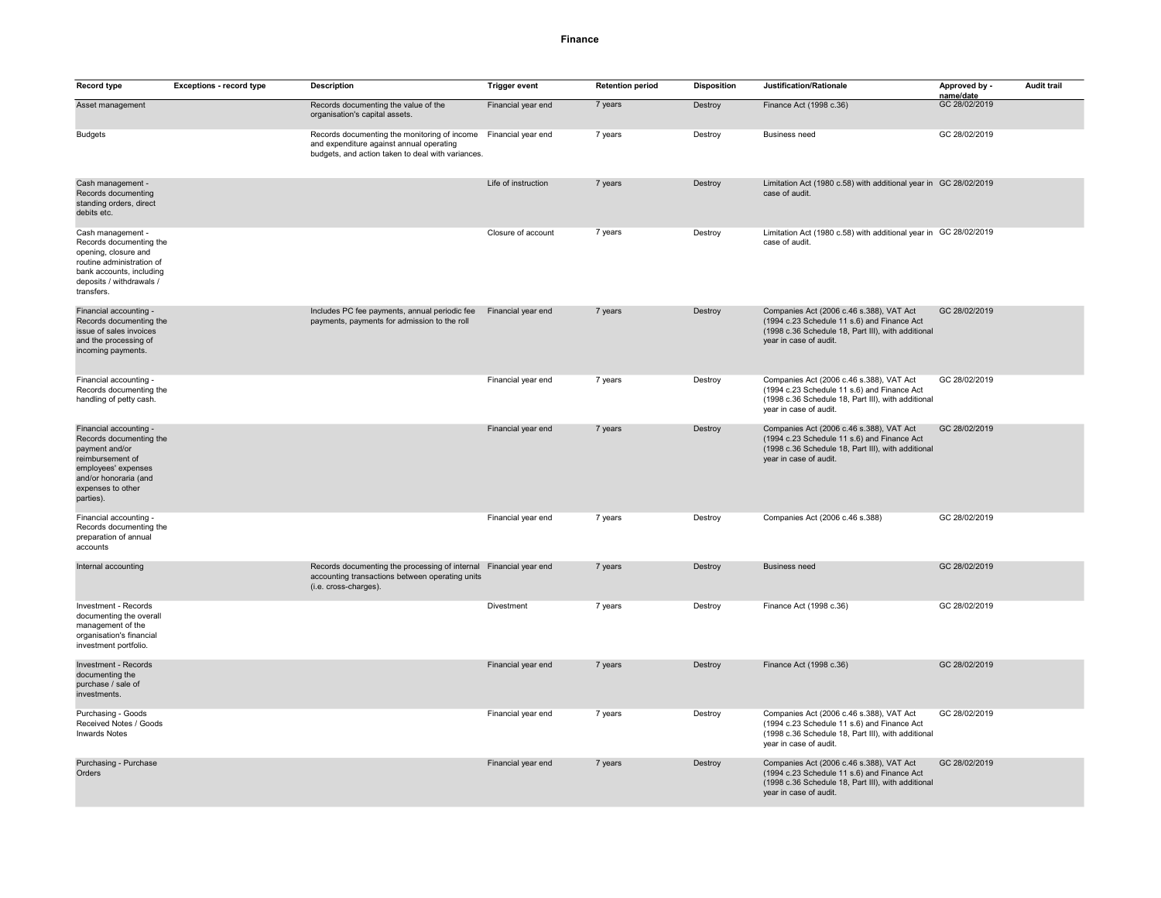#### Finance

| <b>Record type</b>                                                                                                                                                        | Exceptions - record type | <b>Description</b>                                                                                                                                               | <b>Trigger event</b> | <b>Retention period</b> | <b>Disposition</b> | Justification/Rationale                                                                                                                                                 | Approved by -              | <b>Audit trail</b> |
|---------------------------------------------------------------------------------------------------------------------------------------------------------------------------|--------------------------|------------------------------------------------------------------------------------------------------------------------------------------------------------------|----------------------|-------------------------|--------------------|-------------------------------------------------------------------------------------------------------------------------------------------------------------------------|----------------------------|--------------------|
| Asset management                                                                                                                                                          |                          | Records documenting the value of the<br>organisation's capital assets.                                                                                           | Financial year end   | 7 years                 | Destroy            | Finance Act (1998 c.36)                                                                                                                                                 | name/date<br>GC 28/02/2019 |                    |
| <b>Budgets</b>                                                                                                                                                            |                          | Records documenting the monitoring of income Financial year end<br>and expenditure against annual operating<br>budgets, and action taken to deal with variances. |                      | 7 years                 | Destroy            | Business need                                                                                                                                                           | GC 28/02/2019              |                    |
| Cash management -<br>Records documenting<br>standing orders, direct<br>debits etc.                                                                                        |                          |                                                                                                                                                                  | Life of instruction  | 7 years                 | Destroy            | Limitation Act (1980 c.58) with additional year in GC 28/02/2019<br>case of audit.                                                                                      |                            |                    |
| Cash management -<br>Records documenting the<br>opening, closure and<br>routine administration of<br>bank accounts, including<br>deposits / withdrawals /<br>transfers.   |                          |                                                                                                                                                                  | Closure of account   | 7 years                 | Destroy            | Limitation Act (1980 c.58) with additional year in GC 28/02/2019<br>case of audit.                                                                                      |                            |                    |
| Financial accounting -<br>Records documenting the<br>issue of sales invoices<br>and the processing of<br>incoming payments.                                               |                          | Includes PC fee payments, annual periodic fee<br>payments, payments for admission to the roll                                                                    | Financial year end   | 7 years                 | Destroy            | Companies Act (2006 c.46 s.388), VAT Act<br>(1994 c.23 Schedule 11 s.6) and Finance Act<br>(1998 c.36 Schedule 18, Part III), with additional<br>year in case of audit. | GC 28/02/2019              |                    |
| Financial accounting -<br>Records documenting the<br>handling of petty cash.                                                                                              |                          |                                                                                                                                                                  | Financial year end   | 7 years                 | Destroy            | Companies Act (2006 c.46 s.388), VAT Act<br>(1994 c.23 Schedule 11 s.6) and Finance Act<br>(1998 c.36 Schedule 18, Part III), with additional<br>year in case of audit. | GC 28/02/2019              |                    |
| Financial accounting -<br>Records documenting the<br>payment and/or<br>reimbursement of<br>employees' expenses<br>and/or honoraria (and<br>expenses to other<br>parties). |                          |                                                                                                                                                                  | Financial year end   | 7 years                 | Destroy            | Companies Act (2006 c.46 s.388), VAT Act<br>(1994 c.23 Schedule 11 s.6) and Finance Act<br>(1998 c.36 Schedule 18, Part III), with additional<br>year in case of audit. | GC 28/02/2019              |                    |
| Financial accounting -<br>Records documenting the<br>preparation of annual<br>accounts                                                                                    |                          |                                                                                                                                                                  | Financial year end   | 7 years                 | Destroy            | Companies Act (2006 c.46 s.388)                                                                                                                                         | GC 28/02/2019              |                    |
| Internal accounting                                                                                                                                                       |                          | Records documenting the processing of internal<br>accounting transactions between operating units<br>(i.e. cross-charges).                                       | Financial year end   | 7 years                 | Destroy            | <b>Business need</b>                                                                                                                                                    | GC 28/02/2019              |                    |
| Investment - Records<br>documenting the overall<br>management of the<br>organisation's financial<br>investment portfolio.                                                 |                          |                                                                                                                                                                  | Divestment           | 7 years                 | Destroy            | Finance Act (1998 c.36)                                                                                                                                                 | GC 28/02/2019              |                    |
| <b>Investment - Records</b><br>documenting the<br>purchase / sale of<br>investments.                                                                                      |                          |                                                                                                                                                                  | Financial year end   | 7 years                 | Destroy            | Finance Act (1998 c.36)                                                                                                                                                 | GC 28/02/2019              |                    |
| Purchasing - Goods<br>Received Notes / Goods<br><b>Inwards Notes</b>                                                                                                      |                          |                                                                                                                                                                  | Financial year end   | 7 years                 | Destroy            | Companies Act (2006 c.46 s.388), VAT Act<br>(1994 c.23 Schedule 11 s.6) and Finance Act<br>(1998 c.36 Schedule 18, Part III), with additional<br>year in case of audit. | GC 28/02/2019              |                    |
| Purchasing - Purchase<br>Orders                                                                                                                                           |                          |                                                                                                                                                                  | Financial year end   | 7 years                 | Destroy            | Companies Act (2006 c.46 s.388), VAT Act<br>(1994 c.23 Schedule 11 s.6) and Finance Act<br>(1998 c.36 Schedule 18, Part III), with additional<br>year in case of audit. | GC 28/02/2019              |                    |